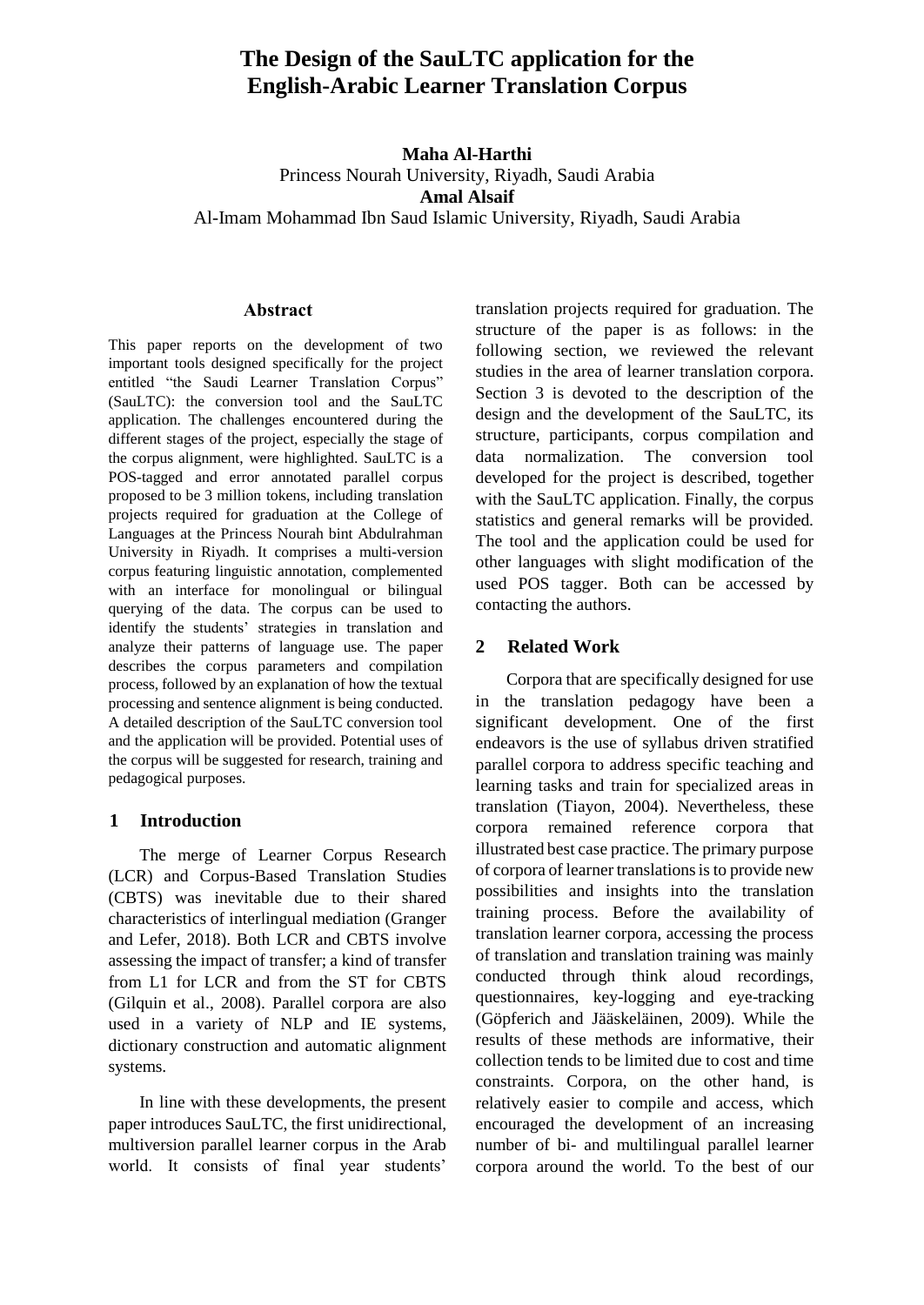# **The Design of the SauLTC application for the English-Arabic Learner Translation Corpus**

**Maha Al-Harthi** 

Princess Nourah University, Riyadh, Saudi Arabia **Amal Alsaif**  [Al-Imam Mohammad Ibn Saud Islamic University,](https://www.scopus.com/affil/profile.uri?afid=60005880) Riyadh, Saudi Arabia

### **Abstract**

This paper reports on the development of two important tools designed specifically for the project entitled "the Saudi Learner Translation Corpus" (SauLTC): the conversion tool and the SauLTC application. The challenges encountered during the different stages of the project, especially the stage of the corpus alignment, were highlighted. SauLTC is a POS-tagged and error annotated parallel corpus proposed to be 3 million tokens, including translation projects required for graduation at the College of Languages at the Princess Nourah bint Abdulrahman University in Riyadh. It comprises a multi-version corpus featuring linguistic annotation, complemented with an interface for monolingual or bilingual querying of the data. The corpus can be used to identify the students' strategies in translation and analyze their patterns of language use. The paper describes the corpus parameters and compilation process, followed by an explanation of how the textual processing and sentence alignment is being conducted. A detailed description of the SauLTC conversion tool and the application will be provided. Potential uses of the corpus will be suggested for research, training and pedagogical purposes.

# **1 Introduction**

The merge of Learner Corpus Research (LCR) and Corpus-Based Translation Studies (CBTS) was inevitable due to their shared characteristics of interlingual mediation (Granger and Lefer, 2018). Both LCR and CBTS involve assessing the impact of transfer; a kind of transfer from L1 for LCR and from the ST for CBTS (Gilquin et al., 2008). Parallel corpora are also used in a variety of NLP and IE systems, dictionary construction and automatic alignment systems.

In line with these developments, the present paper introduces SauLTC, the first unidirectional, multiversion parallel learner corpus in the Arab world. It consists of final year students'

translation projects required for graduation. The structure of the paper is as follows: in the following section, we reviewed the relevant studies in the area of learner translation corpora. Section 3 is devoted to the description of the design and the development of the SauLTC, its structure, participants, corpus compilation and data normalization. The conversion tool developed for the project is described, together with the SauLTC application. Finally, the corpus statistics and general remarks will be provided. The tool and the application could be used for other languages with slight modification of the used POS tagger. Both can be accessed by contacting the authors.

# **2 Related Work**

Corpora that are specifically designed for use in the translation pedagogy have been a significant development. One of the first endeavors is the use of syllabus driven stratified parallel corpora to address specific teaching and learning tasks and train for specialized areas in translation (Tiayon, 2004). Nevertheless, these corpora remained reference corpora that illustrated best case practice. The primary purpose of corpora of learner translations is to provide new possibilities and insights into the translation training process. Before the availability of translation learner corpora, accessing the process of translation and translation training was mainly conducted through think aloud recordings, questionnaires, key-logging and eye-tracking (Göpferich and Jääskeläinen, 2009). While the results of these methods are informative, their collection tends to be limited due to cost and time constraints. Corpora, on the other hand, is relatively easier to compile and access, which encouraged the development of an increasing number of bi- and multilingual parallel learner corpora around the world. To the best of our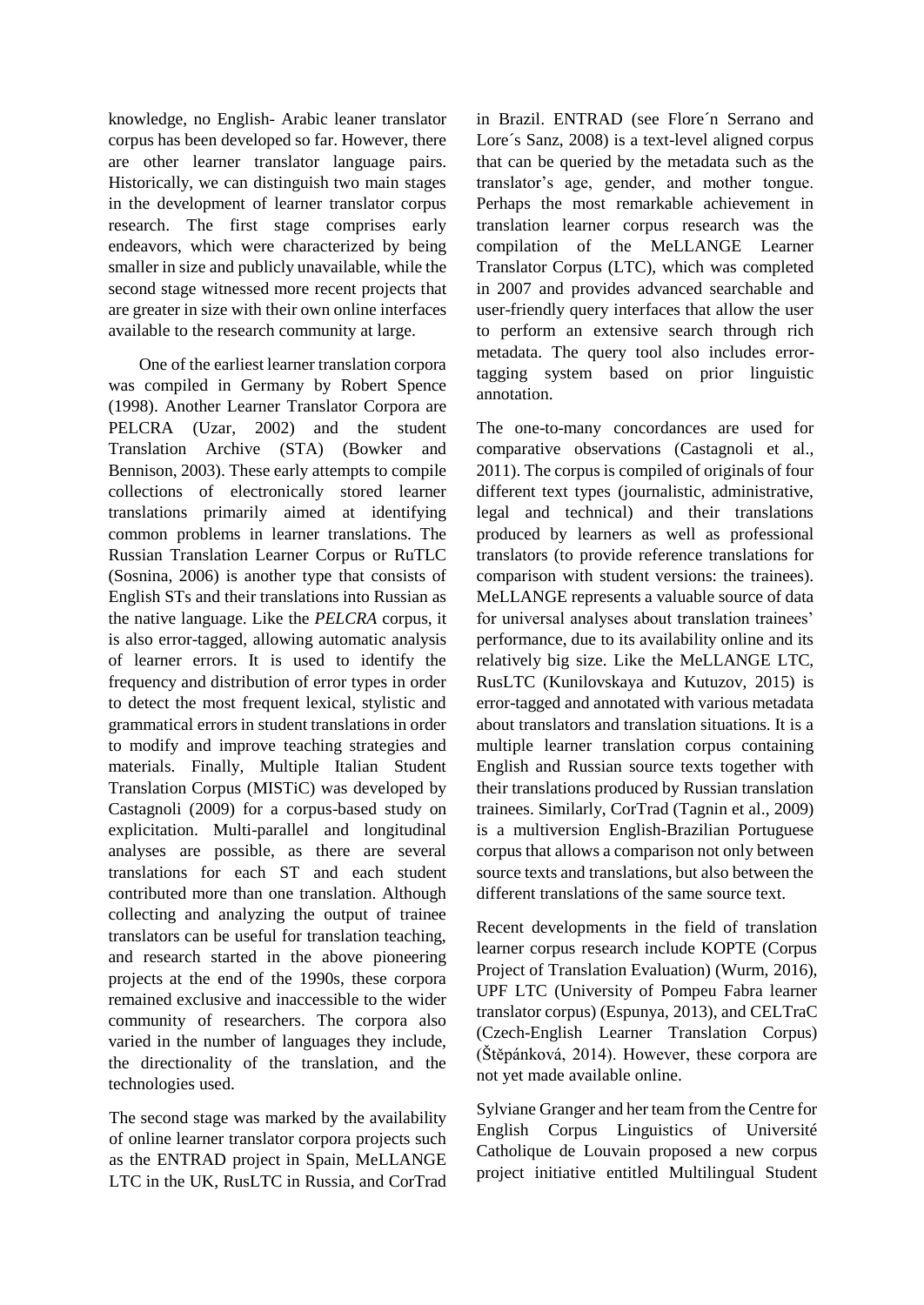knowledge, no English- Arabic leaner translator corpus has been developed so far. However, there are other learner translator language pairs. Historically, we can distinguish two main stages in the development of learner translator corpus research. The first stage comprises early endeavors, which were characterized by being smaller in size and publicly unavailable, while the second stage witnessed more recent projects that are greater in size with their own online interfaces available to the research community at large.

One of the earliest learner translation corpora was compiled in Germany by Robert Spence (1998). Another Learner Translator Corpora are PELCRA (Uzar, 2002) and the student Translation Archive (STA) (Bowker and Bennison, 2003). These early attempts to compile collections of electronically stored learner translations primarily aimed at identifying common problems in learner translations. The Russian Translation Learner Corpus or RuTLC (Sosnina, 2006) is another type that consists of English STs and their translations into Russian as the native language. Like the *PELCRA* corpus, it is also error-tagged, allowing automatic analysis of learner errors. It is used to identify the frequency and distribution of error types in order to detect the most frequent lexical, stylistic and grammatical errors in student translations in order to modify and improve teaching strategies and materials. Finally, Multiple Italian Student Translation Corpus (MISTiC) was developed by Castagnoli (2009) for a corpus-based study on explicitation. Multi-parallel and longitudinal analyses are possible, as there are several translations for each ST and each student contributed more than one translation. Although collecting and analyzing the output of trainee translators can be useful for translation teaching, and research started in the above pioneering projects at the end of the 1990s, these corpora remained exclusive and inaccessible to the wider community of researchers. The corpora also varied in the number of languages they include, the directionality of the translation, and the technologies used.

The second stage was marked by the availability of online learner translator corpora projects such as the ENTRAD project in Spain, MeLLANGE LTC in the UK, RusLTC in Russia, and CorTrad in Brazil. ENTRAD (see Flore´n Serrano and Lore´s Sanz, 2008) is a text-level aligned corpus that can be queried by the metadata such as the translator's age, gender, and mother tongue. Perhaps the most remarkable achievement in translation learner corpus research was the compilation of the MeLLANGE Learner Translator Corpus (LTC), which was completed in 2007 and provides advanced searchable and user-friendly query interfaces that allow the user to perform an extensive search through rich metadata. The query tool also includes errortagging system based on prior linguistic annotation.

The one-to-many concordances are used for comparative observations (Castagnoli et al., 2011). The corpus is compiled of originals of four different text types (journalistic, administrative, legal and technical) and their translations produced by learners as well as professional translators (to provide reference translations for comparison with student versions: the trainees). MeLLANGE represents a valuable source of data for universal analyses about translation trainees' performance, due to its availability online and its relatively big size. Like the MeLLANGE LTC, RusLTC (Kunilovskaya and Kutuzov, 2015) is error-tagged and annotated with various metadata about translators and translation situations. It is a multiple learner translation corpus containing English and Russian source texts together with their translations produced by Russian translation trainees. Similarly, CorTrad (Tagnin et al., 2009) is a multiversion English-Brazilian Portuguese corpus that allows a comparison not only between source texts and translations, but also between the different translations of the same source text.

Recent developments in the field of translation learner corpus research include KOPTE (Corpus Project of Translation Evaluation) (Wurm, 2016), UPF LTC (University of Pompeu Fabra learner translator corpus) (Espunya, 2013), and CELTraC (Czech-English Learner Translation Corpus) (Štěpánková, 2014). However, these corpora are not yet made available online.

Sylviane Granger and her team from the Centre for English Corpus Linguistics of Université Catholique de Louvain proposed a new corpus project initiative entitled Multilingual Student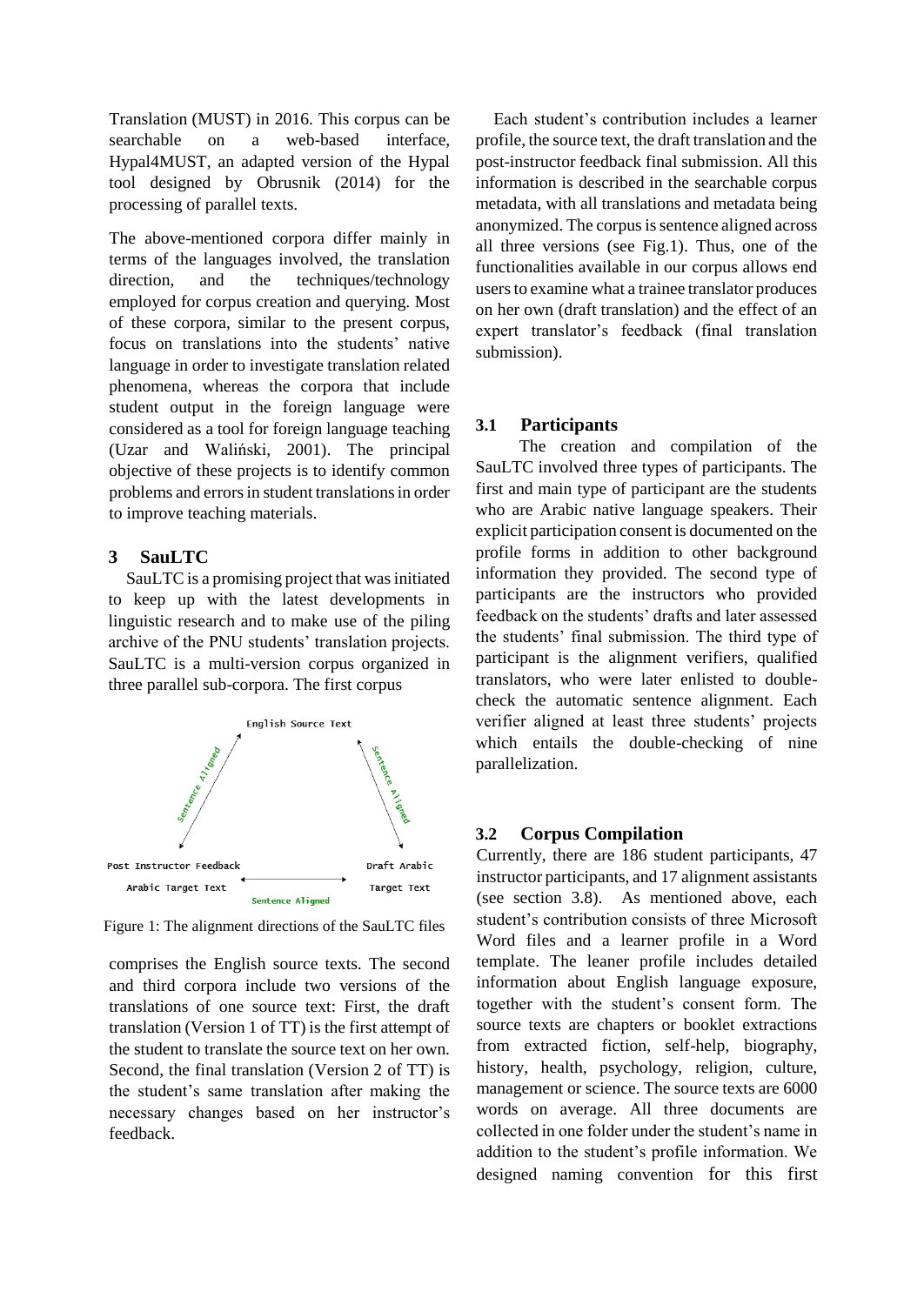Translation (MUST) in 2016. This corpus can be searchable on a web-based interface, Hypal4MUST, an adapted version of the Hypal tool designed by Obrusnik (2014) for the processing of parallel texts.

The above-mentioned corpora differ mainly in terms of the languages involved, the translation direction, and the techniques/technology employed for corpus creation and querying. Most of these corpora, similar to the present corpus, focus on translations into the students' native language in order to investigate translation related phenomena, whereas the corpora that include student output in the foreign language were considered as a tool for foreign language teaching (Uzar and Waliński, 2001). The principal objective of these projects is to identify common problems and errors in student translations in order to improve teaching materials.

# **3 SauLTC**

SauLTC is a promising project that was initiated to keep up with the latest developments in linguistic research and to make use of the piling archive of the PNU students' translation projects. SauLTC is a multi-version corpus organized in three parallel sub-corpora. The first corpus



Figure 1: The alignment directions of the SauLTC files

comprises the English source texts. The second and third corpora include two versions of the translations of one source text: First, the draft translation (Version 1 of TT) is the first attempt of the student to translate the source text on her own. Second, the final translation (Version 2 of TT) is the student's same translation after making the necessary changes based on her instructor's feedback.

Each student's contribution includes a learner profile, the source text, the draft translation and the post-instructor feedback final submission. All this information is described in the searchable corpus metadata, with all translations and metadata being anonymized. The corpus is sentence aligned across all three versions (see Fig.1). Thus, one of the functionalities available in our corpus allows end users to examine what a trainee translator produces on her own (draft translation) and the effect of an expert translator's feedback (final translation submission).

# **3.1 Participants**

The creation and compilation of the SauLTC involved three types of participants. The first and main type of participant are the students who are Arabic native language speakers. Their explicit participation consent is documented on the profile forms in addition to other background information they provided. The second type of participants are the instructors who provided feedback on the students' drafts and later assessed the students' final submission. The third type of participant is the alignment verifiers, qualified translators, who were later enlisted to doublecheck the automatic sentence alignment. Each verifier aligned at least three students' projects which entails the double-checking of nine parallelization.

# **3.2 Corpus Compilation**

Currently, there are 186 student participants, 47 instructor participants, and 17 alignment assistants (see section 3.8). As mentioned above, each student's contribution consists of three Microsoft Word files and a learner profile in a Word template. The leaner profile includes detailed information about English language exposure, together with the student's consent form. The source texts are chapters or booklet extractions from extracted fiction, self-help, biography, history, health, psychology, religion, culture, management or science. The source texts are 6000 words on average. All three documents are collected in one folder under the student's name in addition to the student's profile information. We designed naming convention for this first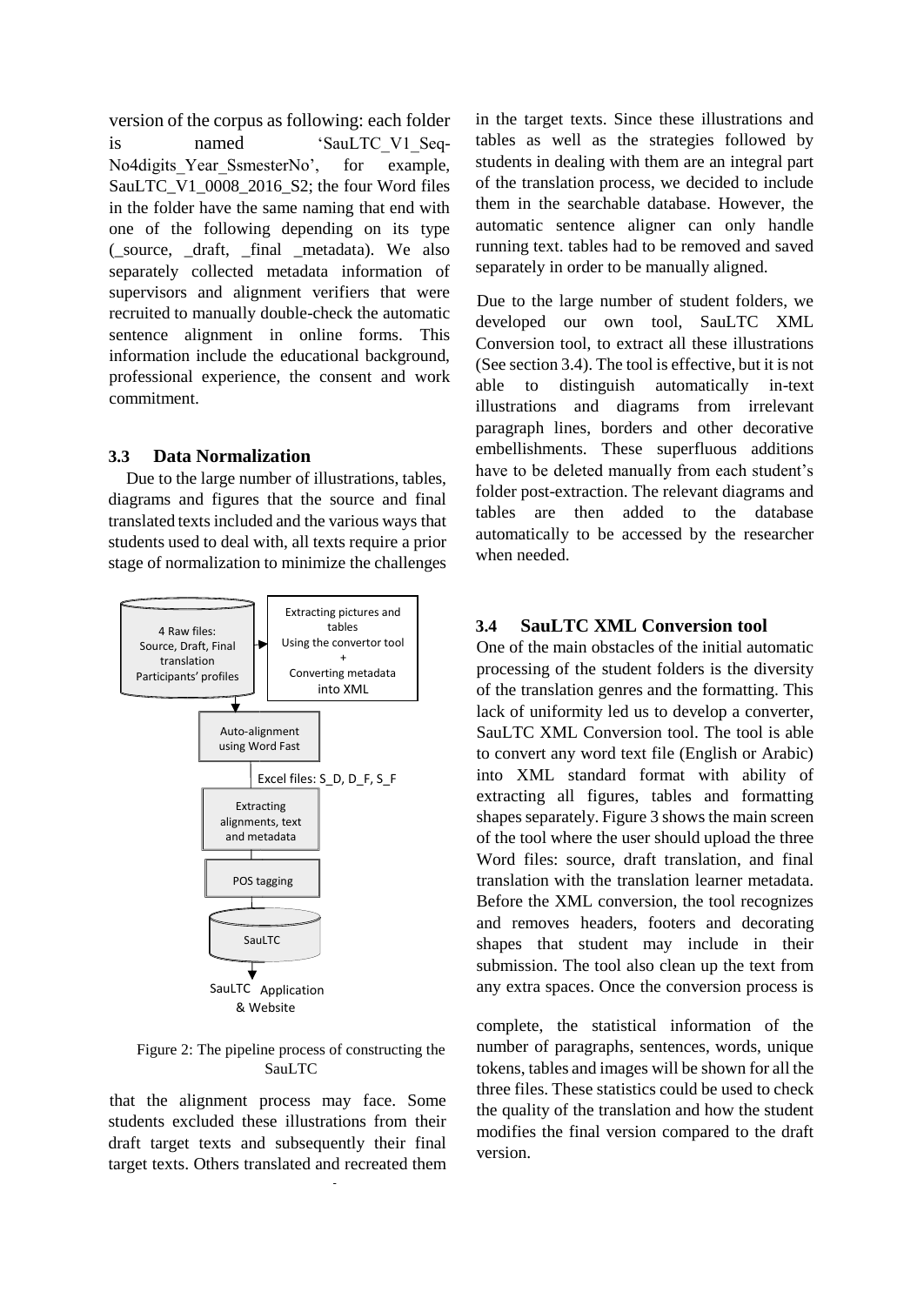version of the corpus as following: each folder is named 'SauLTC\_V1\_Seq-No4digits Year SsmesterNo', for example, SauLTC\_V1\_0008\_2016\_S2; the four Word files in the folder have the same naming that end with one of the following depending on its type (\_source, \_draft, \_final \_metadata). We also separately collected metadata information of supervisors and alignment verifiers that were recruited to manually double-check the automatic sentence alignment in online forms. This information include the educational background, professional experience, the consent and work commitment.

# **3.3 Data Normalization**

Due to the large number of illustrations, tables, diagrams and figures that the source and final translated texts included and the various ways that students used to deal with, all texts require a prior stage of normalization to minimize the challenges



Figure 2: The pipeline process of constructing the SauLTC

that the alignment process may face. Some students excluded these illustrations from their draft target texts and subsequently their final target texts. Others translated and recreated them

-

in the target texts. Since these illustrations and tables as well as the strategies followed by students in dealing with them are an integral part of the translation process, we decided to include them in the searchable database. However, the automatic sentence aligner can only handle running text. tables had to be removed and saved separately in order to be manually aligned.

Due to the large number of student folders, we developed our own tool, SauLTC XML Conversion tool, to extract all these illustrations (See section 3.4). The tool is effective, but it is not able to distinguish automatically in-text illustrations and diagrams from irrelevant paragraph lines, borders and other decorative embellishments. These superfluous additions have to be deleted manually from each student's folder post-extraction. The relevant diagrams and tables are then added to the database automatically to be accessed by the researcher when needed.

# **3.4 SauLTC XML Conversion tool**

One of the main obstacles of the initial automatic processing of the student folders is the diversity of the translation genres and the formatting. This lack of uniformity led us to develop a converter, SauLTC XML Conversion tool. The tool is able to convert any word text file (English or Arabic) into XML standard format with ability of extracting all figures, tables and formatting shapes separately. Figure 3 shows the main screen of the tool where the user should upload the three Word files: source, draft translation, and final translation with the translation learner metadata. Before the XML conversion, the tool recognizes and removes headers, footers and decorating shapes that student may include in their submission. The tool also clean up the text from any extra spaces. Once the conversion process is

complete, the statistical information of the number of paragraphs, sentences, words, unique tokens, tables and images will be shown for all the three files. These statistics could be used to check the quality of the translation and how the student modifies the final version compared to the draft version.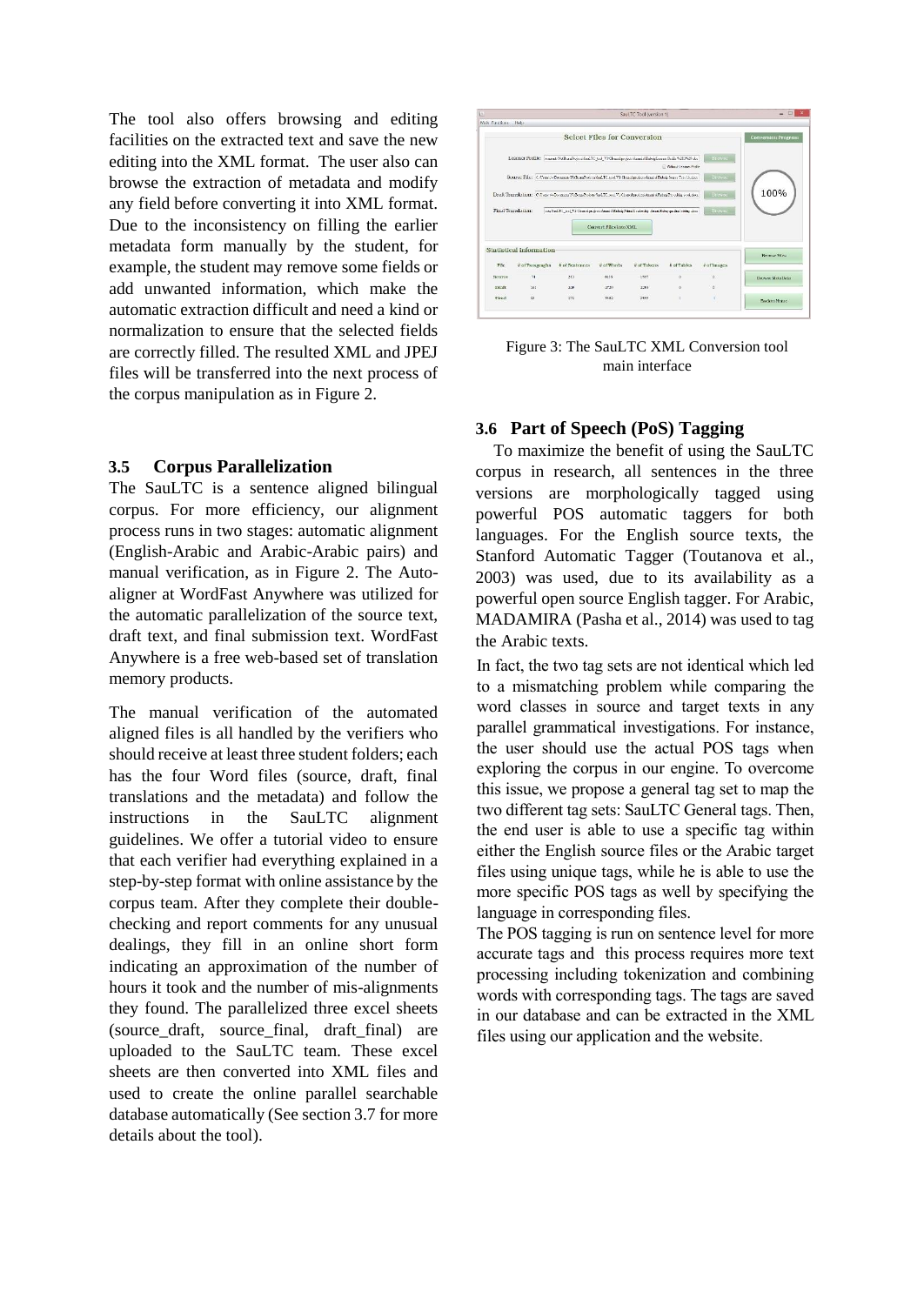The tool also offers browsing and editing facilities on the extracted text and save the new editing into the XML format. The user also can browse the extraction of metadata and modify any field before converting it into XML format. Due to the inconsistency on filling the earlier metadata form manually by the student, for example, the student may remove some fields or add unwanted information, which make the automatic extraction difficult and need a kind or normalization to ensure that the selected fields are correctly filled. The resulted XML and JPEJ files will be transferred into the next process of the corpus manipulation as in Figure 2.

# **3.5 Corpus Parallelization**

The SauLTC is a sentence aligned bilingual corpus. For more efficiency, our alignment process runs in two stages: automatic alignment (English-Arabic and Arabic-Arabic pairs) and manual verification, as in Figure 2. The Autoaligner at WordFast Anywhere was utilized for the automatic parallelization of the source text, draft text, and final submission text. WordFast Anywhere is a free web-based set of translation memory products.

The manual verification of the automated aligned files is all handled by the verifiers who should receive at least three student folders; each has the four Word files (source, draft, final translations and the metadata) and follow the instructions in the SauLTC alignment guidelines. We offer a tutorial video to ensure that each verifier had everything explained in a step-by-step format with online assistance by the corpus team. After they complete their doublechecking and report comments for any unusual dealings, they fill in an online short form indicating an approximation of the number of hours it took and the number of mis-alignments they found. The parallelized three excel sheets (source draft, source final, draft final) are uploaded to the SauLTC team. These excel sheets are then converted into XML files and used to create the online parallel searchable database automatically (See section 3.7 for more details about the tool).



Figure 3: The SauLTC XML Conversion tool main interface

# **3.6 Part of Speech (PoS) Tagging**

To maximize the benefit of using the SauLTC corpus in research, all sentences in the three versions are morphologically tagged using powerful POS automatic taggers for both languages. For the English source texts, the Stanford Automatic Tagger (Toutanova et al., 2003) was used, due to its availability as a powerful open source English tagger. For Arabic, MADAMIRA (Pasha et al., 2014) was used to tag the Arabic texts.

In fact, the two tag sets are not identical which led to a mismatching problem while comparing the word classes in source and target texts in any parallel grammatical investigations. For instance, the user should use the actual POS tags when exploring the corpus in our engine. To overcome this issue, we propose a general tag set to map the two different tag sets: SauLTC General tags. Then, the end user is able to use a specific tag within either the English source files or the Arabic target files using unique tags, while he is able to use the more specific POS tags as well by specifying the language in corresponding files.

The POS tagging is run on sentence level for more accurate tags and this process requires more text processing including tokenization and combining words with corresponding tags. The tags are saved in our database and can be extracted in the XML files using our application and the website.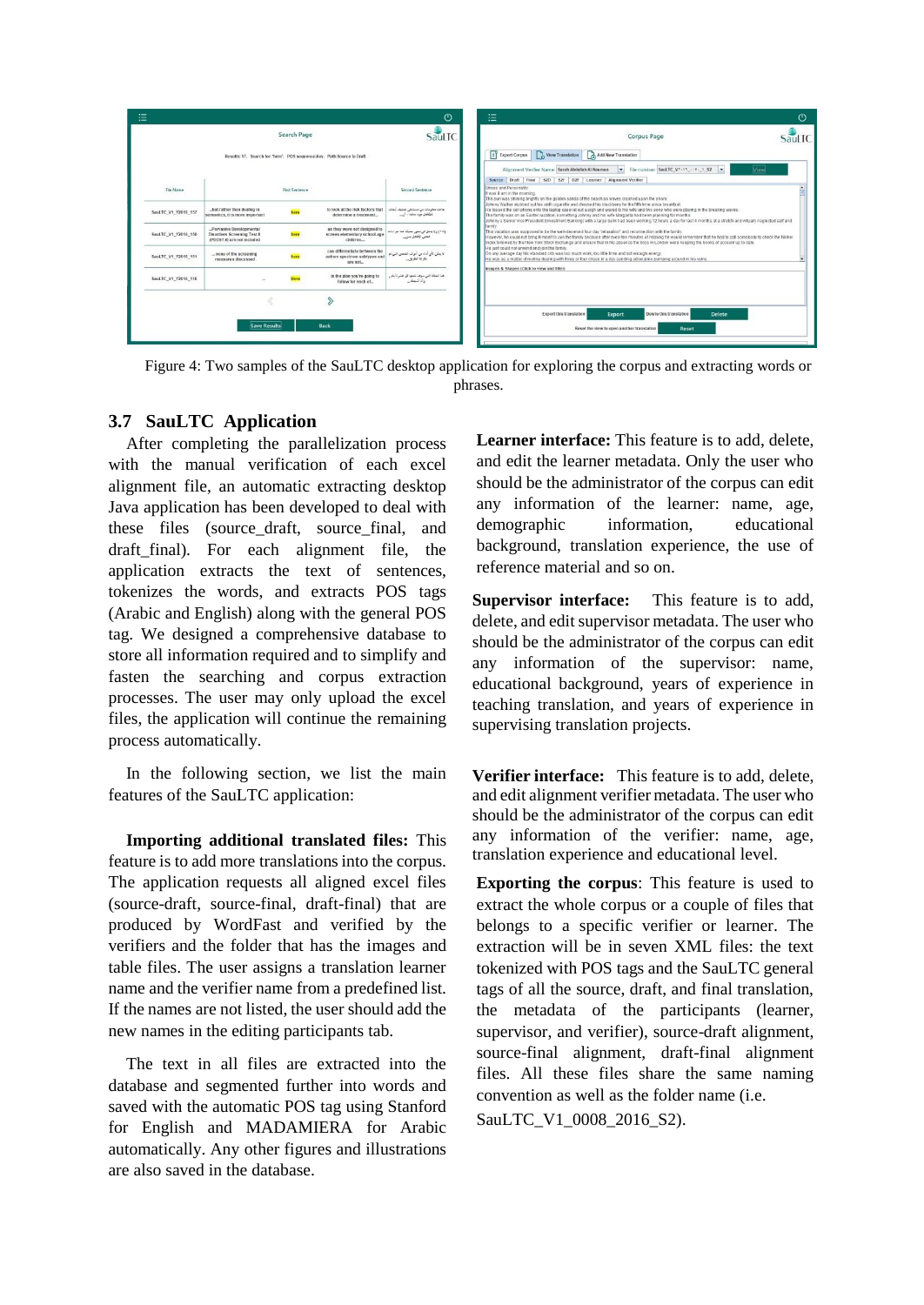

Figure 4: Two samples of the SauLTC desktop application for exploring the corpus and extracting words or phrases.

### **3.7 SauLTC Application**

After completing the parallelization process with the manual verification of each excel alignment file, an automatic extracting desktop Java application has been developed to deal with these files (source draft, source final, and draft\_final). For each alignment file, the application extracts the text of sentences, tokenizes the words, and extracts POS tags (Arabic and English) along with the general POS tag. We designed a comprehensive database to store all information required and to simplify and fasten the searching and corpus extraction processes. The user may only upload the excel files, the application will continue the remaining process automatically.

In the following section, we list the main features of the SauLTC application:

**Importing additional translated files:** This feature is to add more translations into the corpus. The application requests all aligned excel files (source-draft, source-final, draft-final) that are produced by WordFast and verified by the verifiers and the folder that has the images and table files. The user assigns a translation learner name and the verifier name from a predefined list. If the names are not listed, the user should add the new names in the editing participants tab.

The text in all files are extracted into the database and segmented further into words and saved with the automatic POS tag using Stanford for English and MADAMIERA for Arabic automatically. Any other figures and illustrations are also saved in the database.

**Learner interface:** This feature is to add, delete, and edit the learner metadata. Only the user who should be the administrator of the corpus can edit any information of the learner: name, age, demographic information, educational background, translation experience, the use of reference material and so on.

**Supervisor interface:** This feature is to add, delete, and edit supervisor metadata. The user who should be the administrator of the corpus can edit any information of the supervisor: name, educational background, years of experience in teaching translation, and years of experience in supervising translation projects.

**Verifier interface:** This feature is to add, delete, and edit alignment verifier metadata. The user who should be the administrator of the corpus can edit any information of the verifier: name, age, translation experience and educational level.

**Exporting the corpus**: This feature is used to extract the whole corpus or a couple of files that belongs to a specific verifier or learner. The extraction will be in seven XML files: the text tokenized with POS tags and the SauLTC general tags of all the source, draft, and final translation, the metadata of the participants (learner, supervisor, and verifier), source-draft alignment, source-final alignment, draft-final alignment files. All these files share the same naming convention as well as the folder name (i.e.

SauLTC\_V1\_0008\_2016\_S2).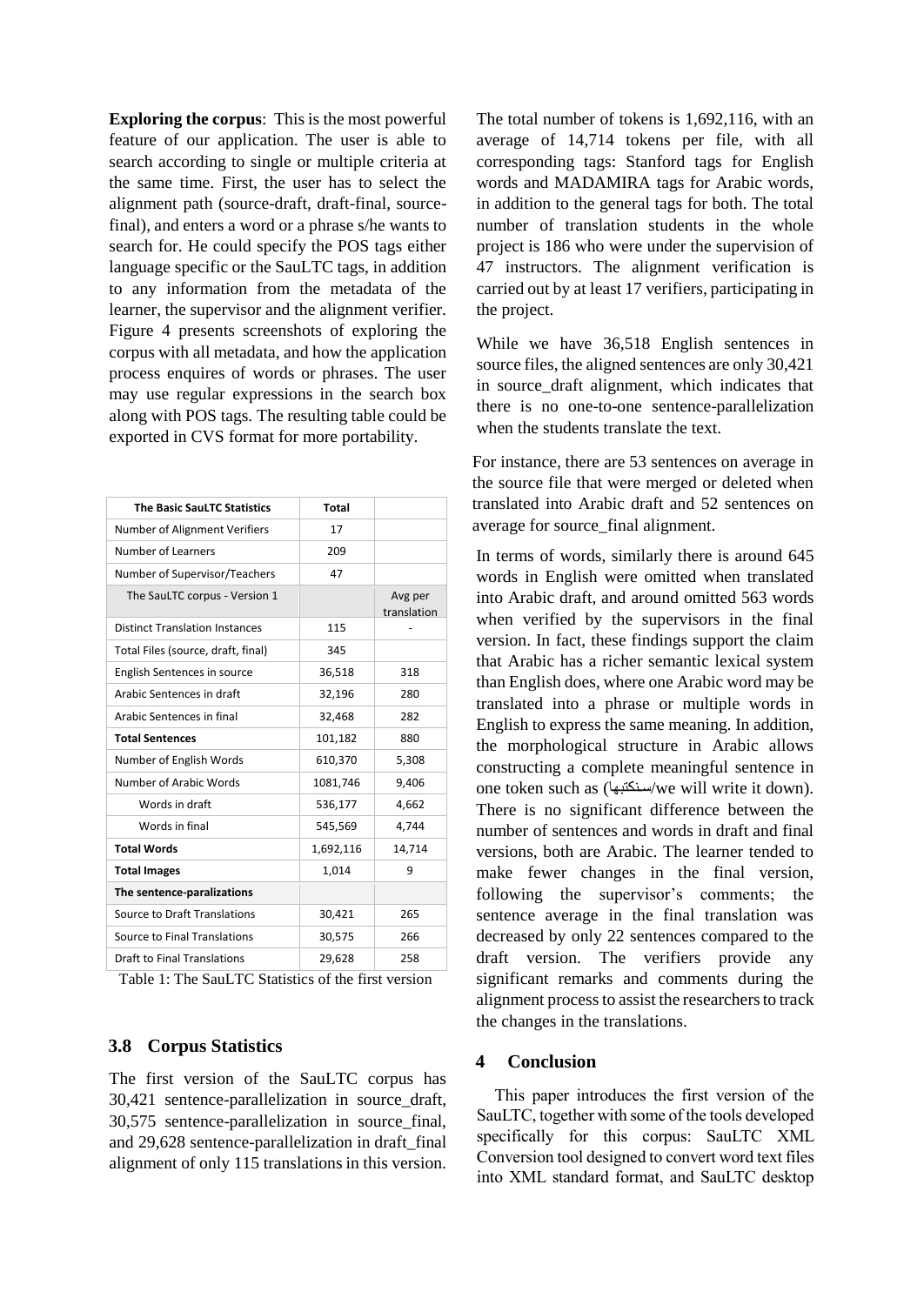**Exploring the corpus**: This is the most powerful feature of our application. The user is able to search according to single or multiple criteria at the same time. First, the user has to select the alignment path (source-draft, draft-final, sourcefinal), and enters a word or a phrase s/he wants to search for. He could specify the POS tags either language specific or the SauLTC tags, in addition to any information from the metadata of the learner, the supervisor and the alignment verifier. Figure 4 presents screenshots of exploring the corpus with all metadata, and how the application process enquires of words or phrases. The user may use regular expressions in the search box along with POS tags. The resulting table could be exported in CVS format for more portability.

| <b>The Basic SauLTC Statistics</b>    | <b>Total</b> |                        |
|---------------------------------------|--------------|------------------------|
| Number of Alignment Verifiers         | 17           |                        |
| Number of Learners                    | 209          |                        |
| Number of Supervisor/Teachers         | 47           |                        |
| The SauLTC corpus - Version 1         |              | Avg per<br>translation |
| <b>Distinct Translation Instances</b> | 115          |                        |
| Total Files (source, draft, final)    | 345          |                        |
| English Sentences in source           | 36,518       | 318                    |
| Arabic Sentences in draft             | 32,196       | 280                    |
| Arabic Sentences in final             | 32,468       | 282                    |
| <b>Total Sentences</b>                | 101,182      | 880                    |
| Number of English Words               | 610,370      | 5,308                  |
| Number of Arabic Words                | 1081,746     | 9,406                  |
| Words in draft                        | 536,177      | 4,662                  |
| Words in final                        | 545,569      | 4,744                  |
| <b>Total Words</b>                    | 1,692,116    | 14,714                 |
| <b>Total Images</b>                   | 1,014        | 9                      |
| The sentence-paralizations            |              |                        |
| Source to Draft Translations          | 30,421       | 265                    |
| Source to Final Translations          | 30,575       | 266                    |
| <b>Draft to Final Translations</b>    | 29,628       | 258                    |

Table 1: The SauLTC Statistics of the first version

### **3.8 Corpus Statistics**

The first version of the SauLTC corpus has 30,421 sentence-parallelization in source\_draft, 30,575 sentence-parallelization in source\_final, and 29,628 sentence-parallelization in draft\_final alignment of only 115 translations in this version.

The total number of tokens is 1,692,116, with an average of 14,714 tokens per file, with all corresponding tags: Stanford tags for English words and MADAMIRA tags for Arabic words, in addition to the general tags for both. The total number of translation students in the whole project is 186 who were under the supervision of 47 instructors. The alignment verification is carried out by at least 17 verifiers, participating in the project.

While we have 36,518 English sentences in source files, the aligned sentences are only 30,421 in source draft alignment, which indicates that there is no one-to-one sentence-parallelization when the students translate the text.

For instance, there are 53 sentences on average in the source file that were merged or deleted when translated into Arabic draft and 52 sentences on average for source\_final alignment.

In terms of words, similarly there is around 645 words in English were omitted when translated into Arabic draft, and around omitted 563 words when verified by the supervisors in the final version. In fact, these findings support the claim that Arabic has a richer semantic lexical system than English does, where one Arabic word may be translated into a phrase or multiple words in English to express the same meaning. In addition, the morphological structure in Arabic allows constructing a complete meaningful sentence in one token such as ( سنتبها/we will write it down). There is no significant difference between the number of sentences and words in draft and final versions, both are Arabic. The learner tended to make fewer changes in the final version, following the supervisor's comments; the sentence average in the final translation was decreased by only 22 sentences compared to the draft version. The verifiers provide any significant remarks and comments during the alignment process to assist the researchers to track the changes in the translations.

### **4 Conclusion**

This paper introduces the first version of the SauLTC, together with some of the tools developed specifically for this corpus: SauLTC XML Conversion tool designed to convert word text files into XML standard format, and SauLTC desktop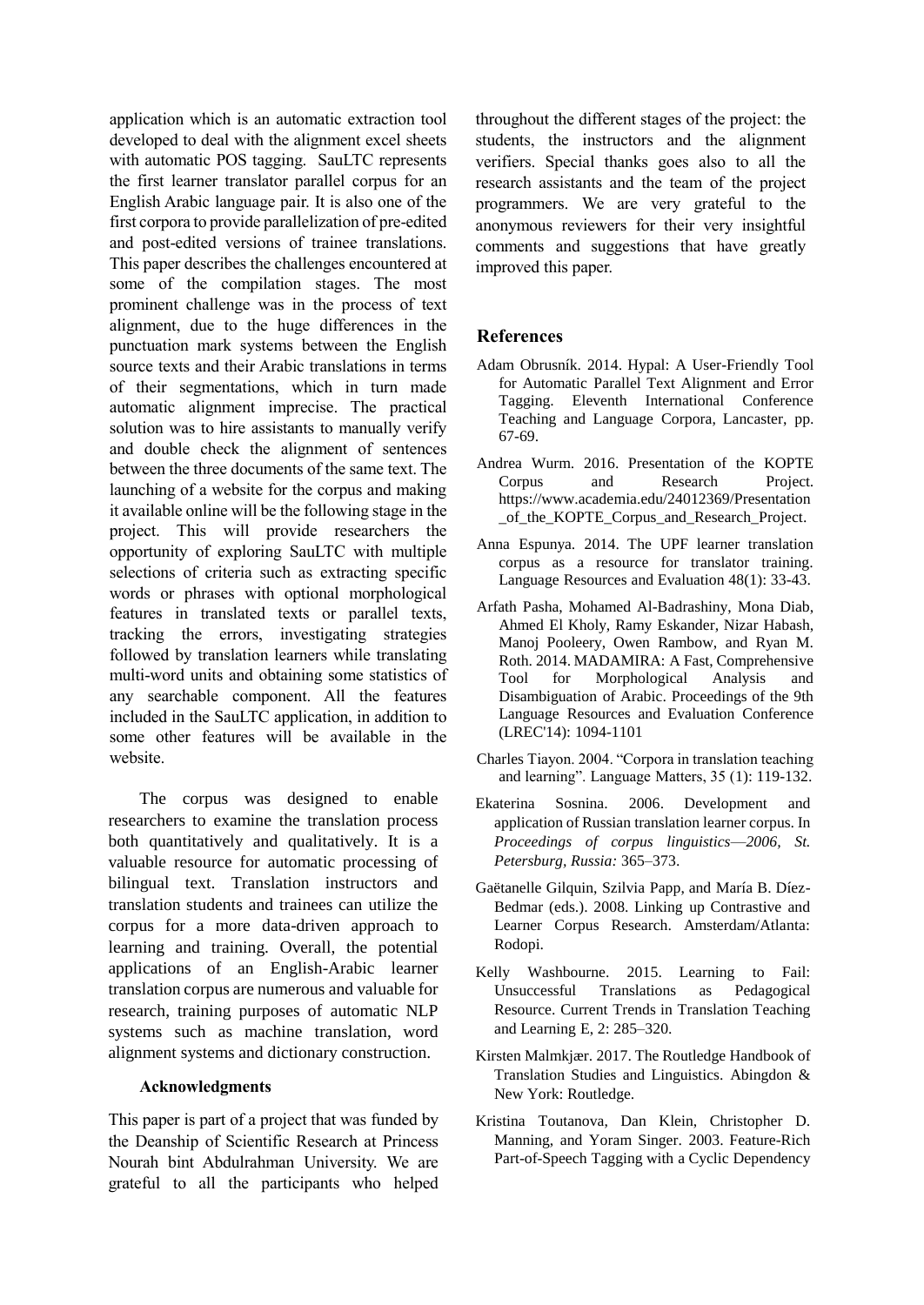application which is an automatic extraction tool developed to deal with the alignment excel sheets with automatic POS tagging. SauLTC represents the first learner translator parallel corpus for an English Arabic language pair. It is also one of the first corpora to provide parallelization of pre-edited and post-edited versions of trainee translations. This paper describes the challenges encountered at some of the compilation stages. The most prominent challenge was in the process of text alignment, due to the huge differences in the punctuation mark systems between the English source texts and their Arabic translations in terms of their segmentations, which in turn made automatic alignment imprecise. The practical solution was to hire assistants to manually verify and double check the alignment of sentences between the three documents of the same text. The launching of a website for the corpus and making it available online will be the following stage in the project. This will provide researchers the opportunity of exploring SauLTC with multiple selections of criteria such as extracting specific words or phrases with optional morphological features in translated texts or parallel texts, tracking the errors, investigating strategies followed by translation learners while translating multi-word units and obtaining some statistics of any searchable component. All the features included in the SauLTC application, in addition to some other features will be available in the website.

The corpus was designed to enable researchers to examine the translation process both quantitatively and qualitatively. It is a valuable resource for automatic processing of bilingual text. Translation instructors and translation students and trainees can utilize the corpus for a more data-driven approach to learning and training. Overall, the potential applications of an English-Arabic learner translation corpus are numerous and valuable for research, training purposes of automatic NLP systems such as machine translation, word alignment systems and dictionary construction.

#### **Acknowledgments**

This paper is part of a project that was funded by the Deanship of Scientific Research at Princess Nourah bint Abdulrahman University. We are grateful to all the participants who helped

throughout the different stages of the project: the students, the instructors and the alignment verifiers. Special thanks goes also to all the research assistants and the team of the project programmers. We are very grateful to the anonymous reviewers for their very insightful comments and suggestions that have greatly improved this paper.

# **References**

- Adam Obrusník. 2014. Hypal: A User-Friendly Tool for Automatic Parallel Text Alignment and Error Tagging. Eleventh International Conference Teaching and Language Corpora, Lancaster, pp. 67-69.
- Andrea Wurm. 2016. Presentation of the KOPTE Corpus and Research Project. [https://www.academia.edu/24012369/Presentation](https://www.academia.edu/24012369/Presentation_of_the_KOPTE_Corpus_and_Research_Project) of the KOPTE Corpus and Research Project.
- Anna Espunya. 2014. The UPF learner translation corpus as a resource for translator training. Language Resources and Evaluation 48(1): 33-43.
- Arfath Pasha, Mohamed Al-Badrashiny, Mona Diab, Ahmed El Kholy, Ramy Eskander, Nizar Habash, Manoj Pooleery, Owen Rambow, and Ryan M. Roth. 2014. MADAMIRA: A Fast, Comprehensive Tool for Morphological Analysis and Disambiguation of Arabic. Proceedings of the 9th Language Resources and Evaluation Conference (LREC'14): 1094-1101
- Charles Tiayon. 2004. "Corpora in translation teaching and learning". Language Matters, 35 (1): 119-132.
- Ekaterina Sosnina. 2006. Development and application of Russian translation learner corpus. In *Proceedings of corpus linguistics*—*2006, St. Petersburg, Russia:* 365–373.
- Gaëtanelle Gilquin, Szilvia Papp, and María B. Díez-Bedmar (eds.). 2008. Linking up Contrastive and Learner Corpus Research. Amsterdam/Atlanta: Rodopi.
- Kelly Washbourne. 2015. Learning to Fail: Unsuccessful Translations as Pedagogical Resource. Current Trends in Translation Teaching and Learning E, 2: 285–320.
- Kirsten Malmkjær. 2017. The Routledge Handbook of Translation Studies and Linguistics. Abingdon & New York: Routledge.
- Kristina Toutanova, Dan Klein, Christopher D. Manning, and Yoram Singer. 2003. Feature-Rich Part-of-Speech Tagging with a Cyclic Dependency